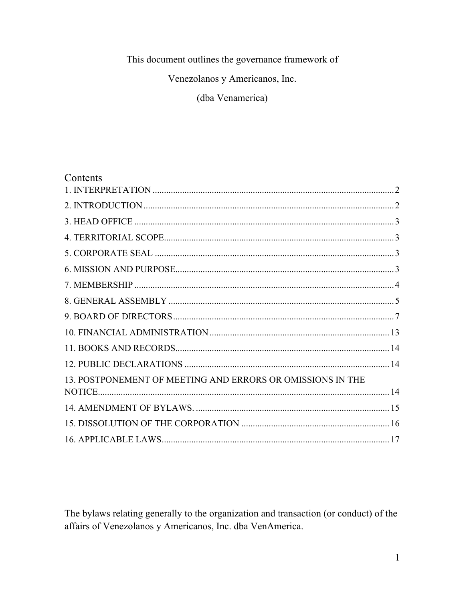#### This document outlines the governance framework of

Venezolanos y Americanos, Inc.

(dba Venamerica)

#### Contents

| 13. POSTPONEMENT OF MEETING AND ERRORS OR OMISSIONS IN THE |  |
|------------------------------------------------------------|--|
|                                                            |  |
|                                                            |  |
|                                                            |  |
|                                                            |  |

The bylaws relating generally to the organization and transaction (or conduct) of the affairs of Venezolanos y Americanos, Inc. dba VenAmerica.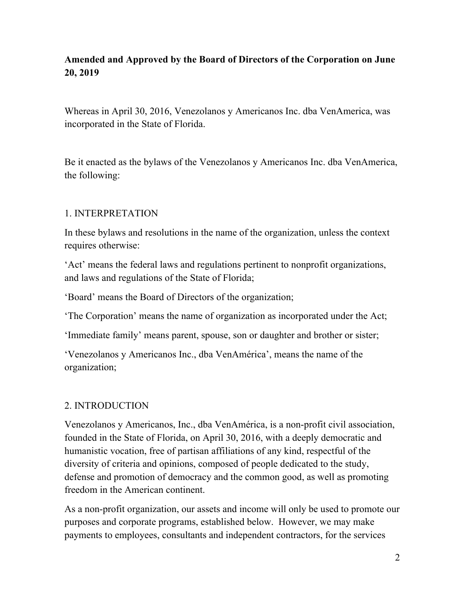# **Amended and Approved by the Board of Directors of the Corporation on June 20, 2019**

Whereas in April 30, 2016, Venezolanos y Americanos Inc. dba VenAmerica, was incorporated in the State of Florida.

Be it enacted as the bylaws of the Venezolanos y Americanos Inc. dba VenAmerica, the following:

#### 1. INTERPRETATION

In these bylaws and resolutions in the name of the organization, unless the context requires otherwise:

'Act' means the federal laws and regulations pertinent to nonprofit organizations, and laws and regulations of the State of Florida;

'Board' means the Board of Directors of the organization;

'The Corporation' means the name of organization as incorporated under the Act;

'Immediate family' means parent, spouse, son or daughter and brother or sister;

'Venezolanos y Americanos Inc., dba VenAmérica', means the name of the organization;

### 2. INTRODUCTION

Venezolanos y Americanos, Inc., dba VenAmérica, is a non-profit civil association, founded in the State of Florida, on April 30, 2016, with a deeply democratic and humanistic vocation, free of partisan affiliations of any kind, respectful of the diversity of criteria and opinions, composed of people dedicated to the study, defense and promotion of democracy and the common good, as well as promoting freedom in the American continent.

As a non-profit organization, our assets and income will only be used to promote our purposes and corporate programs, established below. However, we may make payments to employees, consultants and independent contractors, for the services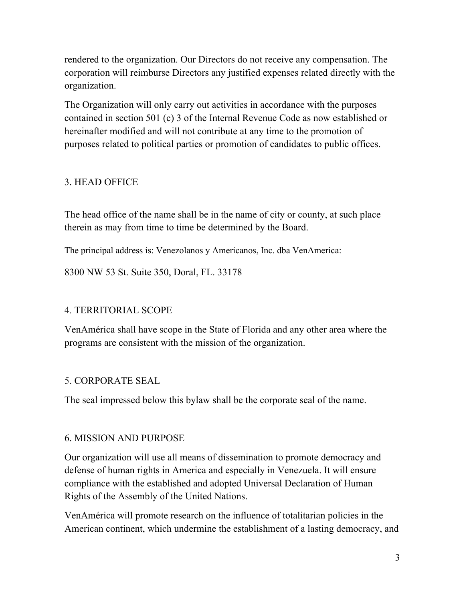rendered to the organization. Our Directors do not receive any compensation. The corporation will reimburse Directors any justified expenses related directly with the organization.

The Organization will only carry out activities in accordance with the purposes contained in section 501 (c) 3 of the Internal Revenue Code as now established or hereinafter modified and will not contribute at any time to the promotion of purposes related to political parties or promotion of candidates to public offices.

### 3. HEAD OFFICE

The head office of the name shall be in the name of city or county, at such place therein as may from time to time be determined by the Board.

The principal address is: Venezolanos y Americanos, Inc. dba VenAmerica:

8300 NW 53 St. Suite 350, Doral, FL. 33178

#### 4. TERRITORIAL SCOPE

VenAmérica shall have scope in the State of Florida and any other area where the programs are consistent with the mission of the organization.

### 5. CORPORATE SEAL

The seal impressed below this bylaw shall be the corporate seal of the name.

#### 6. MISSION AND PURPOSE

Our organization will use all means of dissemination to promote democracy and defense of human rights in America and especially in Venezuela. It will ensure compliance with the established and adopted Universal Declaration of Human Rights of the Assembly of the United Nations.

VenAmérica will promote research on the influence of totalitarian policies in the American continent, which undermine the establishment of a lasting democracy, and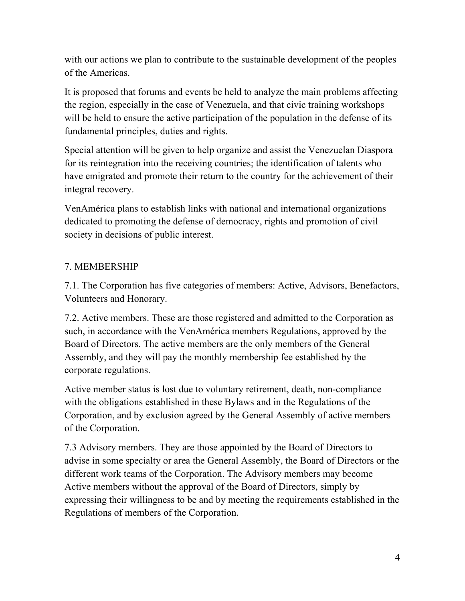with our actions we plan to contribute to the sustainable development of the peoples of the Americas.

It is proposed that forums and events be held to analyze the main problems affecting the region, especially in the case of Venezuela, and that civic training workshops will be held to ensure the active participation of the population in the defense of its fundamental principles, duties and rights.

Special attention will be given to help organize and assist the Venezuelan Diaspora for its reintegration into the receiving countries; the identification of talents who have emigrated and promote their return to the country for the achievement of their integral recovery.

VenAmérica plans to establish links with national and international organizations dedicated to promoting the defense of democracy, rights and promotion of civil society in decisions of public interest.

### 7. MEMBERSHIP

7.1. The Corporation has five categories of members: Active, Advisors, Benefactors, Volunteers and Honorary.

7.2. Active members. These are those registered and admitted to the Corporation as such, in accordance with the VenAmérica members Regulations, approved by the Board of Directors. The active members are the only members of the General Assembly, and they will pay the monthly membership fee established by the corporate regulations.

Active member status is lost due to voluntary retirement, death, non-compliance with the obligations established in these Bylaws and in the Regulations of the Corporation, and by exclusion agreed by the General Assembly of active members of the Corporation.

7.3 Advisory members. They are those appointed by the Board of Directors to advise in some specialty or area the General Assembly, the Board of Directors or the different work teams of the Corporation. The Advisory members may become Active members without the approval of the Board of Directors, simply by expressing their willingness to be and by meeting the requirements established in the Regulations of members of the Corporation.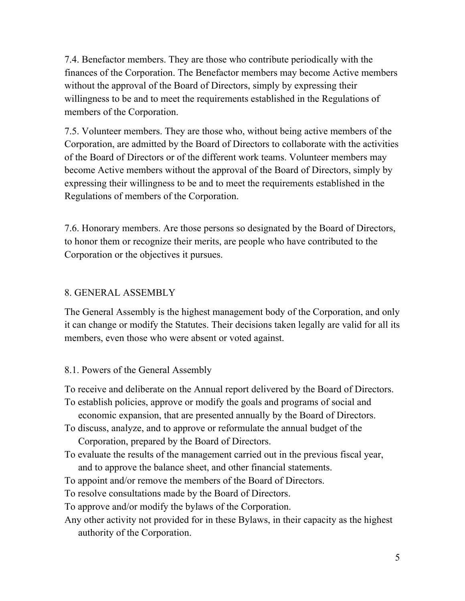7.4. Benefactor members. They are those who contribute periodically with the finances of the Corporation. The Benefactor members may become Active members without the approval of the Board of Directors, simply by expressing their willingness to be and to meet the requirements established in the Regulations of members of the Corporation.

7.5. Volunteer members. They are those who, without being active members of the Corporation, are admitted by the Board of Directors to collaborate with the activities of the Board of Directors or of the different work teams. Volunteer members may become Active members without the approval of the Board of Directors, simply by expressing their willingness to be and to meet the requirements established in the Regulations of members of the Corporation.

7.6. Honorary members. Are those persons so designated by the Board of Directors, to honor them or recognize their merits, are people who have contributed to the Corporation or the objectives it pursues.

### 8. GENERAL ASSEMBLY

The General Assembly is the highest management body of the Corporation, and only it can change or modify the Statutes. Their decisions taken legally are valid for all its members, even those who were absent or voted against.

#### 8.1. Powers of the General Assembly

To receive and deliberate on the Annual report delivered by the Board of Directors.

- To establish policies, approve or modify the goals and programs of social and economic expansion, that are presented annually by the Board of Directors.
- To discuss, analyze, and to approve or reformulate the annual budget of the Corporation, prepared by the Board of Directors.
- To evaluate the results of the management carried out in the previous fiscal year, and to approve the balance sheet, and other financial statements.
- To appoint and/or remove the members of the Board of Directors.

To resolve consultations made by the Board of Directors.

To approve and/or modify the bylaws of the Corporation.

Any other activity not provided for in these Bylaws, in their capacity as the highest authority of the Corporation.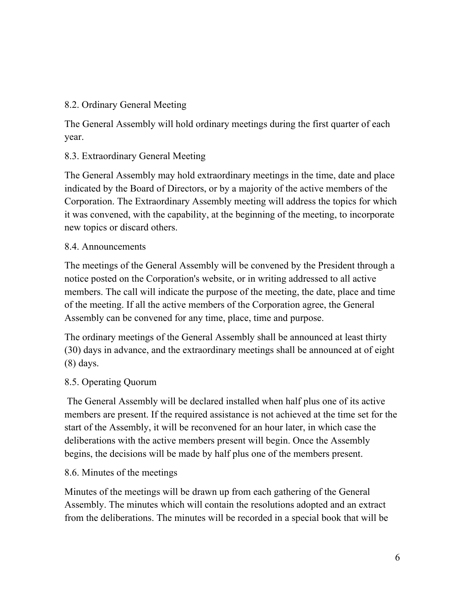### 8.2. Ordinary General Meeting

The General Assembly will hold ordinary meetings during the first quarter of each year.

### 8.3. Extraordinary General Meeting

The General Assembly may hold extraordinary meetings in the time, date and place indicated by the Board of Directors, or by a majority of the active members of the Corporation. The Extraordinary Assembly meeting will address the topics for which it was convened, with the capability, at the beginning of the meeting, to incorporate new topics or discard others.

### 8.4. Announcements

The meetings of the General Assembly will be convened by the President through a notice posted on the Corporation's website, or in writing addressed to all active members. The call will indicate the purpose of the meeting, the date, place and time of the meeting. If all the active members of the Corporation agree, the General Assembly can be convened for any time, place, time and purpose.

The ordinary meetings of the General Assembly shall be announced at least thirty (30) days in advance, and the extraordinary meetings shall be announced at of eight (8) days.

# 8.5. Operating Quorum

The General Assembly will be declared installed when half plus one of its active members are present. If the required assistance is not achieved at the time set for the start of the Assembly, it will be reconvened for an hour later, in which case the deliberations with the active members present will begin. Once the Assembly begins, the decisions will be made by half plus one of the members present.

# 8.6. Minutes of the meetings

Minutes of the meetings will be drawn up from each gathering of the General Assembly. The minutes which will contain the resolutions adopted and an extract from the deliberations. The minutes will be recorded in a special book that will be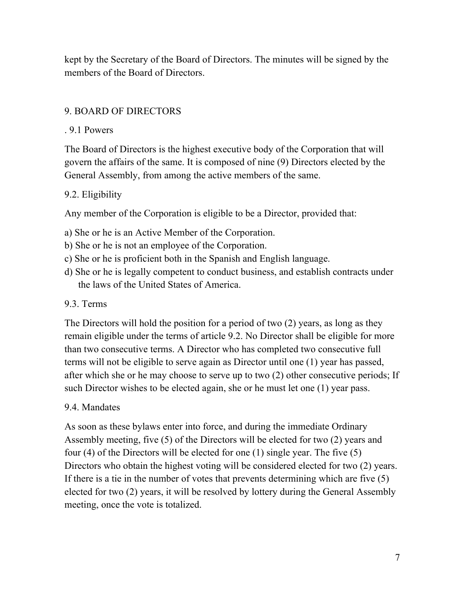kept by the Secretary of the Board of Directors. The minutes will be signed by the members of the Board of Directors.

### 9. BOARD OF DIRECTORS

### . 9.1 Powers

The Board of Directors is the highest executive body of the Corporation that will govern the affairs of the same. It is composed of nine (9) Directors elected by the General Assembly, from among the active members of the same.

# 9.2. Eligibility

Any member of the Corporation is eligible to be a Director, provided that:

- a) She or he is an Active Member of the Corporation.
- b) She or he is not an employee of the Corporation.
- c) She or he is proficient both in the Spanish and English language.
- d) She or he is legally competent to conduct business, and establish contracts under the laws of the United States of America.

# 9.3. Terms

The Directors will hold the position for a period of two (2) years, as long as they remain eligible under the terms of article 9.2. No Director shall be eligible for more than two consecutive terms. A Director who has completed two consecutive full terms will not be eligible to serve again as Director until one (1) year has passed, after which she or he may choose to serve up to two (2) other consecutive periods; If such Director wishes to be elected again, she or he must let one (1) year pass.

# 9.4. Mandates

As soon as these bylaws enter into force, and during the immediate Ordinary Assembly meeting, five (5) of the Directors will be elected for two (2) years and four (4) of the Directors will be elected for one (1) single year. The five (5) Directors who obtain the highest voting will be considered elected for two (2) years. If there is a tie in the number of votes that prevents determining which are five (5) elected for two (2) years, it will be resolved by lottery during the General Assembly meeting, once the vote is totalized.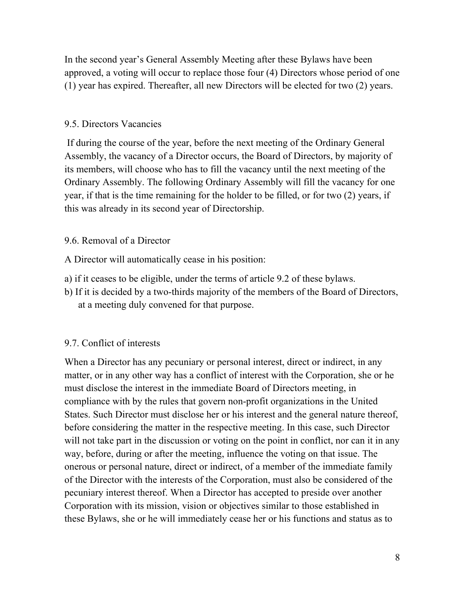In the second year's General Assembly Meeting after these Bylaws have been approved, a voting will occur to replace those four (4) Directors whose period of one (1) year has expired. Thereafter, all new Directors will be elected for two (2) years.

#### 9.5. Directors Vacancies

If during the course of the year, before the next meeting of the Ordinary General Assembly, the vacancy of a Director occurs, the Board of Directors, by majority of its members, will choose who has to fill the vacancy until the next meeting of the Ordinary Assembly. The following Ordinary Assembly will fill the vacancy for one year, if that is the time remaining for the holder to be filled, or for two (2) years, if this was already in its second year of Directorship.

### 9.6. Removal of a Director

A Director will automatically cease in his position:

- a) if it ceases to be eligible, under the terms of article 9.2 of these bylaws.
- b) If it is decided by a two-thirds majority of the members of the Board of Directors, at a meeting duly convened for that purpose.

### 9.7. Conflict of interests

When a Director has any pecuniary or personal interest, direct or indirect, in any matter, or in any other way has a conflict of interest with the Corporation, she or he must disclose the interest in the immediate Board of Directors meeting, in compliance with by the rules that govern non-profit organizations in the United States. Such Director must disclose her or his interest and the general nature thereof, before considering the matter in the respective meeting. In this case, such Director will not take part in the discussion or voting on the point in conflict, nor can it in any way, before, during or after the meeting, influence the voting on that issue. The onerous or personal nature, direct or indirect, of a member of the immediate family of the Director with the interests of the Corporation, must also be considered of the pecuniary interest thereof. When a Director has accepted to preside over another Corporation with its mission, vision or objectives similar to those established in these Bylaws, she or he will immediately cease her or his functions and status as to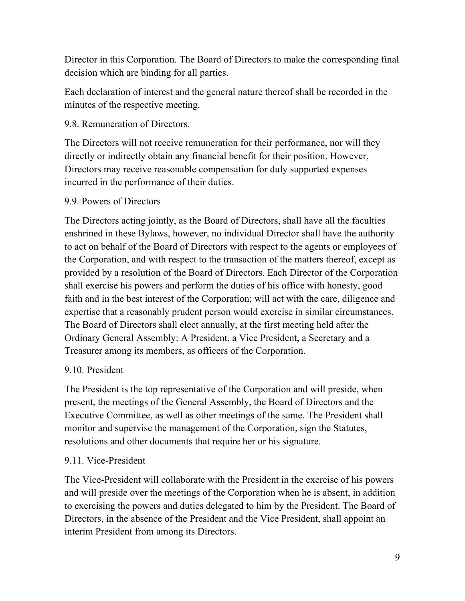Director in this Corporation. The Board of Directors to make the corresponding final decision which are binding for all parties.

Each declaration of interest and the general nature thereof shall be recorded in the minutes of the respective meeting.

#### 9.8. Remuneration of Directors.

The Directors will not receive remuneration for their performance, nor will they directly or indirectly obtain any financial benefit for their position. However, Directors may receive reasonable compensation for duly supported expenses incurred in the performance of their duties.

#### 9.9. Powers of Directors

The Directors acting jointly, as the Board of Directors, shall have all the faculties enshrined in these Bylaws, however, no individual Director shall have the authority to act on behalf of the Board of Directors with respect to the agents or employees of the Corporation, and with respect to the transaction of the matters thereof, except as provided by a resolution of the Board of Directors. Each Director of the Corporation shall exercise his powers and perform the duties of his office with honesty, good faith and in the best interest of the Corporation; will act with the care, diligence and expertise that a reasonably prudent person would exercise in similar circumstances. The Board of Directors shall elect annually, at the first meeting held after the Ordinary General Assembly: A President, a Vice President, a Secretary and a Treasurer among its members, as officers of the Corporation.

### 9.10. President

The President is the top representative of the Corporation and will preside, when present, the meetings of the General Assembly, the Board of Directors and the Executive Committee, as well as other meetings of the same. The President shall monitor and supervise the management of the Corporation, sign the Statutes, resolutions and other documents that require her or his signature.

### 9.11. Vice-President

The Vice-President will collaborate with the President in the exercise of his powers and will preside over the meetings of the Corporation when he is absent, in addition to exercising the powers and duties delegated to him by the President. The Board of Directors, in the absence of the President and the Vice President, shall appoint an interim President from among its Directors.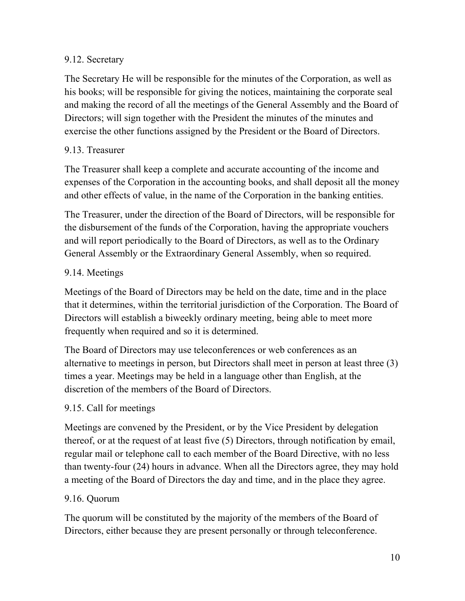### 9.12. Secretary

The Secretary He will be responsible for the minutes of the Corporation, as well as his books; will be responsible for giving the notices, maintaining the corporate seal and making the record of all the meetings of the General Assembly and the Board of Directors; will sign together with the President the minutes of the minutes and exercise the other functions assigned by the President or the Board of Directors.

# 9.13. Treasurer

The Treasurer shall keep a complete and accurate accounting of the income and expenses of the Corporation in the accounting books, and shall deposit all the money and other effects of value, in the name of the Corporation in the banking entities.

The Treasurer, under the direction of the Board of Directors, will be responsible for the disbursement of the funds of the Corporation, having the appropriate vouchers and will report periodically to the Board of Directors, as well as to the Ordinary General Assembly or the Extraordinary General Assembly, when so required.

# 9.14. Meetings

Meetings of the Board of Directors may be held on the date, time and in the place that it determines, within the territorial jurisdiction of the Corporation. The Board of Directors will establish a biweekly ordinary meeting, being able to meet more frequently when required and so it is determined.

The Board of Directors may use teleconferences or web conferences as an alternative to meetings in person, but Directors shall meet in person at least three (3) times a year. Meetings may be held in a language other than English, at the discretion of the members of the Board of Directors.

# 9.15. Call for meetings

Meetings are convened by the President, or by the Vice President by delegation thereof, or at the request of at least five (5) Directors, through notification by email, regular mail or telephone call to each member of the Board Directive, with no less than twenty-four (24) hours in advance. When all the Directors agree, they may hold a meeting of the Board of Directors the day and time, and in the place they agree.

### 9.16. Quorum

The quorum will be constituted by the majority of the members of the Board of Directors, either because they are present personally or through teleconference.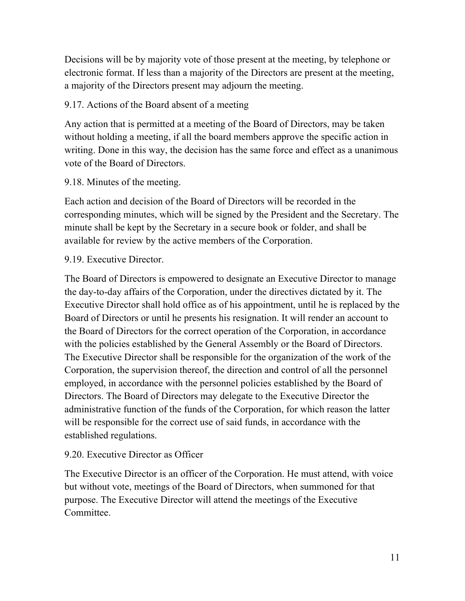Decisions will be by majority vote of those present at the meeting, by telephone or electronic format. If less than a majority of the Directors are present at the meeting, a majority of the Directors present may adjourn the meeting.

### 9.17. Actions of the Board absent of a meeting

Any action that is permitted at a meeting of the Board of Directors, may be taken without holding a meeting, if all the board members approve the specific action in writing. Done in this way, the decision has the same force and effect as a unanimous vote of the Board of Directors.

### 9.18. Minutes of the meeting.

Each action and decision of the Board of Directors will be recorded in the corresponding minutes, which will be signed by the President and the Secretary. The minute shall be kept by the Secretary in a secure book or folder, and shall be available for review by the active members of the Corporation.

### 9.19. Executive Director.

The Board of Directors is empowered to designate an Executive Director to manage the day-to-day affairs of the Corporation, under the directives dictated by it. The Executive Director shall hold office as of his appointment, until he is replaced by the Board of Directors or until he presents his resignation. It will render an account to the Board of Directors for the correct operation of the Corporation, in accordance with the policies established by the General Assembly or the Board of Directors. The Executive Director shall be responsible for the organization of the work of the Corporation, the supervision thereof, the direction and control of all the personnel employed, in accordance with the personnel policies established by the Board of Directors. The Board of Directors may delegate to the Executive Director the administrative function of the funds of the Corporation, for which reason the latter will be responsible for the correct use of said funds, in accordance with the established regulations.

### 9.20. Executive Director as Officer

The Executive Director is an officer of the Corporation. He must attend, with voice but without vote, meetings of the Board of Directors, when summoned for that purpose. The Executive Director will attend the meetings of the Executive Committee.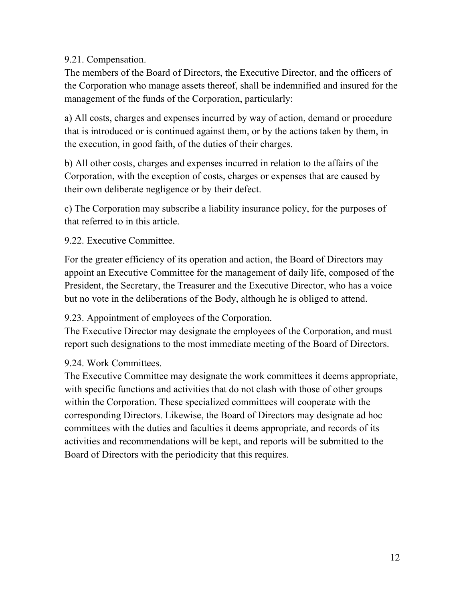9.21. Compensation.

The members of the Board of Directors, the Executive Director, and the officers of the Corporation who manage assets thereof, shall be indemnified and insured for the management of the funds of the Corporation, particularly:

a) All costs, charges and expenses incurred by way of action, demand or procedure that is introduced or is continued against them, or by the actions taken by them, in the execution, in good faith, of the duties of their charges.

b) All other costs, charges and expenses incurred in relation to the affairs of the Corporation, with the exception of costs, charges or expenses that are caused by their own deliberate negligence or by their defect.

c) The Corporation may subscribe a liability insurance policy, for the purposes of that referred to in this article.

9.22. Executive Committee.

For the greater efficiency of its operation and action, the Board of Directors may appoint an Executive Committee for the management of daily life, composed of the President, the Secretary, the Treasurer and the Executive Director, who has a voice but no vote in the deliberations of the Body, although he is obliged to attend.

9.23. Appointment of employees of the Corporation.

The Executive Director may designate the employees of the Corporation, and must report such designations to the most immediate meeting of the Board of Directors.

9.24. Work Committees.

The Executive Committee may designate the work committees it deems appropriate, with specific functions and activities that do not clash with those of other groups within the Corporation. These specialized committees will cooperate with the corresponding Directors. Likewise, the Board of Directors may designate ad hoc committees with the duties and faculties it deems appropriate, and records of its activities and recommendations will be kept, and reports will be submitted to the Board of Directors with the periodicity that this requires.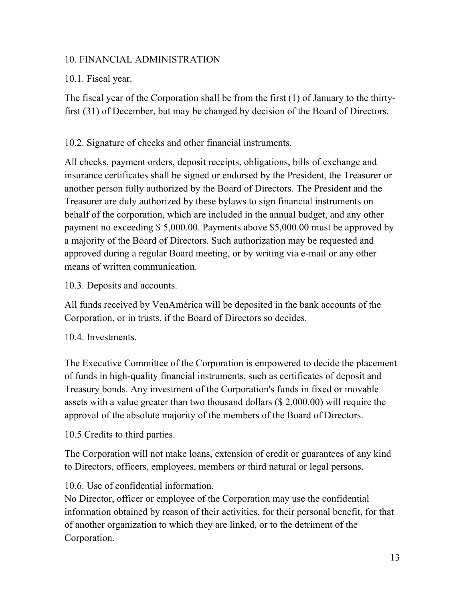### 10. FINANCIAL ADMINISTRATION

### 10.1. Fiscal year.

The fiscal year of the Corporation shall be from the first (1) of January to the thirtyfirst (31) of December, but may be changed by decision of the Board of Directors.

### 10.2. Signature of checks and other financial instruments.

All checks, payment orders, deposit receipts, obligations, bills of exchange and insurance certificates shall be signed or endorsed by the President, the Treasurer or another person fully authorized by the Board of Directors. The President and the Treasurer are duly authorized by these bylaws to sign financial instruments on behalf of the corporation, which are included in the annual budget, and any other payment no exceeding \$ 5,000.00. Payments above \$5,000.00 must be approved by a majority of the Board of Directors. Such authorization may be requested and approved during a regular Board meeting, or by writing via e-mail or any other means of written communication.

#### 10.3. Deposits and accounts.

All funds received by VenAmérica will be deposited in the bank accounts of the Corporation, or in trusts, if the Board of Directors so decides.

### 10.4. Investments.

The Executive Committee of the Corporation is empowered to decide the placement of funds in high-quality financial instruments, such as certificates of deposit and Treasury bonds. Any investment of the Corporation's funds in fixed or movable assets with a value greater than two thousand dollars (\$ 2,000.00) will require the approval of the absolute majority of the members of the Board of Directors.

10.5 Credits to third parties.

The Corporation will not make loans, extension of credit or guarantees of any kind to Directors, officers, employees, members or third natural or legal persons.

# 10.6. Use of confidential information.

No Director, officer or employee of the Corporation may use the confidential information obtained by reason of their activities, for their personal benefit, for that of another organization to which they are linked, or to the detriment of the Corporation.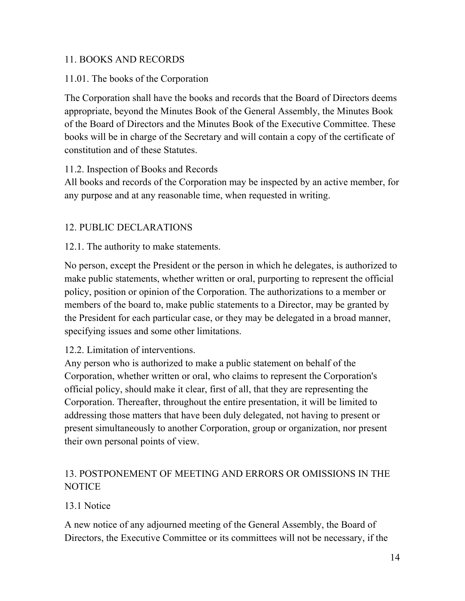### 11. BOOKS AND RECORDS

### 11.01. The books of the Corporation

The Corporation shall have the books and records that the Board of Directors deems appropriate, beyond the Minutes Book of the General Assembly, the Minutes Book of the Board of Directors and the Minutes Book of the Executive Committee. These books will be in charge of the Secretary and will contain a copy of the certificate of constitution and of these Statutes.

### 11.2. Inspection of Books and Records

All books and records of the Corporation may be inspected by an active member, for any purpose and at any reasonable time, when requested in writing.

### 12. PUBLIC DECLARATIONS

### 12.1. The authority to make statements.

No person, except the President or the person in which he delegates, is authorized to make public statements, whether written or oral, purporting to represent the official policy, position or opinion of the Corporation. The authorizations to a member or members of the board to, make public statements to a Director, may be granted by the President for each particular case, or they may be delegated in a broad manner, specifying issues and some other limitations.

### 12.2. Limitation of interventions.

Any person who is authorized to make a public statement on behalf of the Corporation, whether written or oral, who claims to represent the Corporation's official policy, should make it clear, first of all, that they are representing the Corporation. Thereafter, throughout the entire presentation, it will be limited to addressing those matters that have been duly delegated, not having to present or present simultaneously to another Corporation, group or organization, nor present their own personal points of view.

# 13. POSTPONEMENT OF MEETING AND ERRORS OR OMISSIONS IN THE NOTICE

### 13.1 Notice

A new notice of any adjourned meeting of the General Assembly, the Board of Directors, the Executive Committee or its committees will not be necessary, if the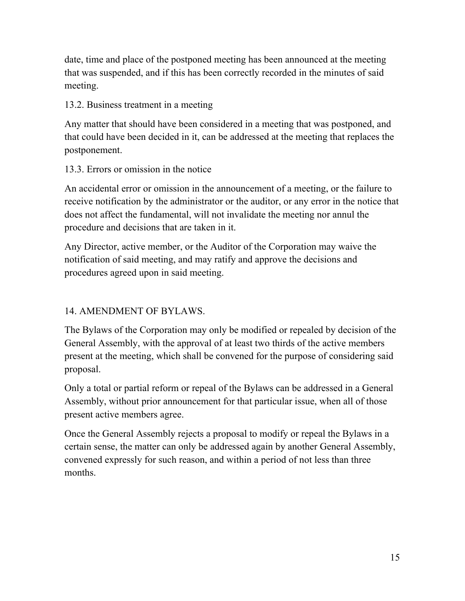date, time and place of the postponed meeting has been announced at the meeting that was suspended, and if this has been correctly recorded in the minutes of said meeting.

### 13.2. Business treatment in a meeting

Any matter that should have been considered in a meeting that was postponed, and that could have been decided in it, can be addressed at the meeting that replaces the postponement.

### 13.3. Errors or omission in the notice

An accidental error or omission in the announcement of a meeting, or the failure to receive notification by the administrator or the auditor, or any error in the notice that does not affect the fundamental, will not invalidate the meeting nor annul the procedure and decisions that are taken in it.

Any Director, active member, or the Auditor of the Corporation may waive the notification of said meeting, and may ratify and approve the decisions and procedures agreed upon in said meeting.

# 14. AMENDMENT OF BYLAWS.

The Bylaws of the Corporation may only be modified or repealed by decision of the General Assembly, with the approval of at least two thirds of the active members present at the meeting, which shall be convened for the purpose of considering said proposal.

Only a total or partial reform or repeal of the Bylaws can be addressed in a General Assembly, without prior announcement for that particular issue, when all of those present active members agree.

Once the General Assembly rejects a proposal to modify or repeal the Bylaws in a certain sense, the matter can only be addressed again by another General Assembly, convened expressly for such reason, and within a period of not less than three months.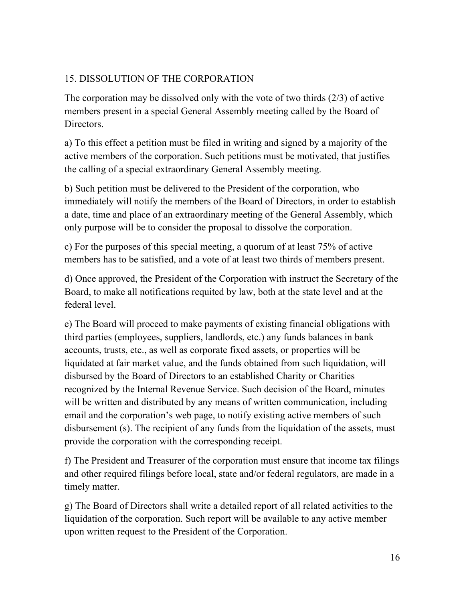# 15. DISSOLUTION OF THE CORPORATION

The corporation may be dissolved only with the vote of two thirds (2/3) of active members present in a special General Assembly meeting called by the Board of Directors.

a) To this effect a petition must be filed in writing and signed by a majority of the active members of the corporation. Such petitions must be motivated, that justifies the calling of a special extraordinary General Assembly meeting.

b) Such petition must be delivered to the President of the corporation, who immediately will notify the members of the Board of Directors, in order to establish a date, time and place of an extraordinary meeting of the General Assembly, which only purpose will be to consider the proposal to dissolve the corporation.

c) For the purposes of this special meeting, a quorum of at least 75% of active members has to be satisfied, and a vote of at least two thirds of members present.

d) Once approved, the President of the Corporation with instruct the Secretary of the Board, to make all notifications requited by law, both at the state level and at the federal level.

e) The Board will proceed to make payments of existing financial obligations with third parties (employees, suppliers, landlords, etc.) any funds balances in bank accounts, trusts, etc., as well as corporate fixed assets, or properties will be liquidated at fair market value, and the funds obtained from such liquidation, will disbursed by the Board of Directors to an established Charity or Charities recognized by the Internal Revenue Service. Such decision of the Board, minutes will be written and distributed by any means of written communication, including email and the corporation's web page, to notify existing active members of such disbursement (s). The recipient of any funds from the liquidation of the assets, must provide the corporation with the corresponding receipt.

f) The President and Treasurer of the corporation must ensure that income tax filings and other required filings before local, state and/or federal regulators, are made in a timely matter.

g) The Board of Directors shall write a detailed report of all related activities to the liquidation of the corporation. Such report will be available to any active member upon written request to the President of the Corporation.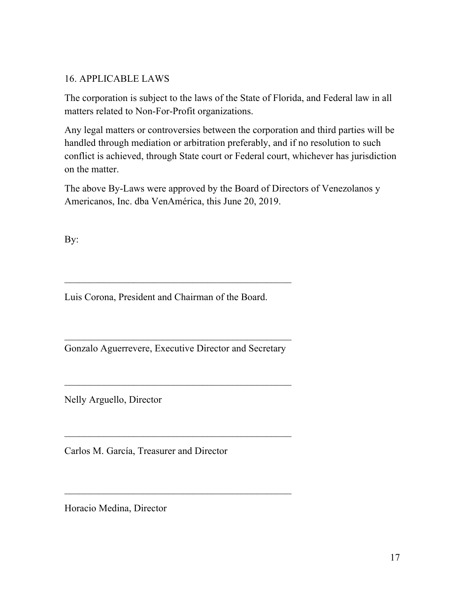### 16. APPLICABLE LAWS

The corporation is subject to the laws of the State of Florida, and Federal law in all matters related to Non-For-Profit organizations.

Any legal matters or controversies between the corporation and third parties will be handled through mediation or arbitration preferably, and if no resolution to such conflict is achieved, through State court or Federal court, whichever has jurisdiction on the matter.

The above By-Laws were approved by the Board of Directors of Venezolanos y Americanos, Inc. dba VenAmérica, this June 20, 2019.

By:

Luis Corona, President and Chairman of the Board.

Gonzalo Aguerrevere, Executive Director and Secretary

\_\_\_\_\_\_\_\_\_\_\_\_\_\_\_\_\_\_\_\_\_\_\_\_\_\_\_\_\_\_\_\_\_\_\_\_\_\_\_\_\_\_\_\_\_\_

Nelly Arguello, Director

Carlos M. García, Treasurer and Director

Horacio Medina, Director